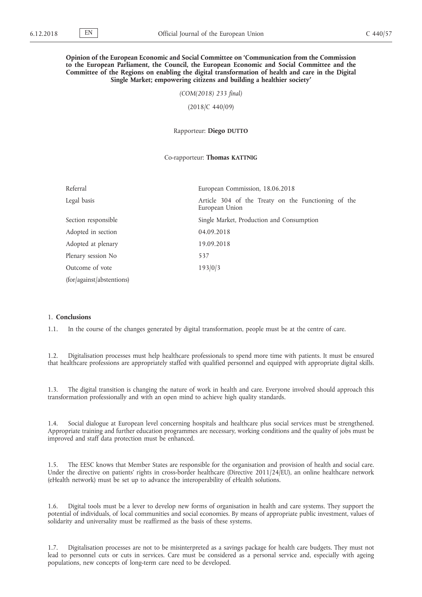## **Opinion of the European Economic and Social Committee on 'Communication from the Commission to the European Parliament, the Council, the European Economic and Social Committee and the Committee of the Regions on enabling the digital transformation of health and care in the Digital Single Market; empowering citizens and building a healthier society'**

*(COM(2018) 233 final)*

(2018/C 440/09)

Rapporteur: **Diego DUTTO**

### Co-rapporteur: **Thomas KATTNIG**

| Referral                  | European Commission, 18.06.2018                                       |
|---------------------------|-----------------------------------------------------------------------|
| Legal basis               | Article 304 of the Treaty on the Functioning of the<br>European Union |
| Section responsible       | Single Market, Production and Consumption                             |
| Adopted in section        | 04.09.2018                                                            |
| Adopted at plenary        | 19.09.2018                                                            |
| Plenary session No        | 537                                                                   |
| Outcome of vote           | 193/0/3                                                               |
| (for/against/abstentions) |                                                                       |

## 1. **Conclusions**

1.1. In the course of the changes generated by digital transformation, people must be at the centre of care.

1.2. Digitalisation processes must help healthcare professionals to spend more time with patients. It must be ensured that healthcare professions are appropriately staffed with qualified personnel and equipped with appropriate digital skills.

1.3. The digital transition is changing the nature of work in health and care. Everyone involved should approach this transformation professionally and with an open mind to achieve high quality standards.

1.4. Social dialogue at European level concerning hospitals and healthcare plus social services must be strengthened. Appropriate training and further education programmes are necessary, working conditions and the quality of jobs must be improved and staff data protection must be enhanced.

1.5. The EESC knows that Member States are responsible for the organisation and provision of health and social care. Under the directive on patients' rights in cross-border healthcare (Directive 2011/24/EU), an online healthcare network (eHealth network) must be set up to advance the interoperability of eHealth solutions.

1.6. Digital tools must be a lever to develop new forms of organisation in health and care systems. They support the potential of individuals, of local communities and social economies. By means of appropriate public investment, values of solidarity and universality must be reaffirmed as the basis of these systems.

1.7. Digitalisation processes are not to be misinterpreted as a savings package for health care budgets. They must not lead to personnel cuts or cuts in services. Care must be considered as a personal service and, especially with ageing populations, new concepts of long-term care need to be developed.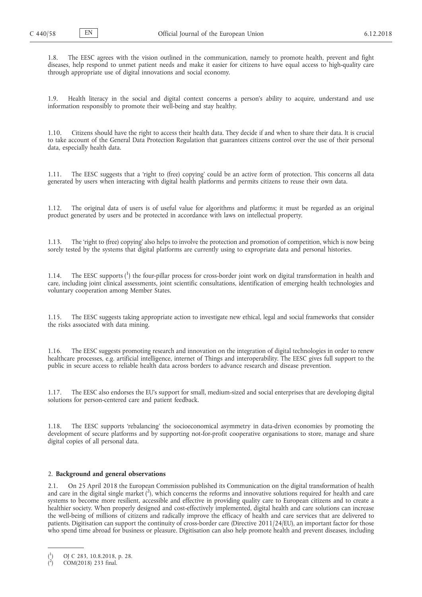1.8. The EESC agrees with the vision outlined in the communication, namely to promote health, prevent and fight diseases, help respond to unmet patient needs and make it easier for citizens to have equal access to high-quality care through appropriate use of digital innovations and social economy.

1.9. Health literacy in the social and digital context concerns a person's ability to acquire, understand and use information responsibly to promote their well-being and stay healthy.

1.10. Citizens should have the right to access their health data. They decide if and when to share their data. It is crucial to take account of the General Data Protection Regulation that guarantees citizens control over the use of their personal data, especially health data.

1.11. The EESC suggests that a 'right to (free) copying' could be an active form of protection. This concerns all data generated by users when interacting with digital health platforms and permits citizens to reuse their own data.

1.12. The original data of users is of useful value for algorithms and platforms; it must be regarded as an original product generated by users and be protected in accordance with laws on intellectual property.

1.13. The 'right to (free) copying' also helps to involve the protection and promotion of competition, which is now being sorely tested by the systems that digital platforms are currently using to expropriate data and personal histories.

1.14. The EESC supports (<sup>1</sup>) the four-pillar process for cross-border joint work on digital transformation in health and care, including joint clinical assessments, joint scientific consultations, identification of emerging health technologies and voluntary cooperation among Member States.

1.15. The EESC suggests taking appropriate action to investigate new ethical, legal and social frameworks that consider the risks associated with data mining.

1.16. The EESC suggests promoting research and innovation on the integration of digital technologies in order to renew healthcare processes, e.g. artificial intelligence, internet of Things and interoperability. The EESC gives full support to the public in secure access to reliable health data across borders to advance research and disease prevention.

1.17. The EESC also endorses the EU's support for small, medium-sized and social enterprises that are developing digital solutions for person-centered care and patient feedback.

1.18. The EESC supports 'rebalancing' the socioeconomical asymmetry in data-driven economies by promoting the development of secure platforms and by supporting not-for-profit cooperative organisations to store, manage and share digital copies of all personal data.

# 2. **Background and general observations**

2.1. On 25 April 2018 the European Commission published its Communication on the digital transformation of health and care in the digital single market  $(2)$ , which concerns the reforms and innovative solutions required for health and care systems to become more resilient, accessible and effective in providing quality care to European citizens and to create a healthier society. When properly designed and cost-effectively implemented, digital health and care solutions can increase the well-being of millions of citizens and radically improve the efficacy of health and care services that are delivered to patients. Digitisation can support the continuity of cross-border care (Directive 2011/24/EU), an important factor for those who spend time abroad for business or pleasure. Digitisation can also help promote health and prevent diseases, including

<sup>(</sup> 1 ) [OJ C 283, 10.8.2018, p. 28.](https://eur-lex.europa.eu/LexUriServ/LexUriServ.do?uri=OJ:C:2018:283:SOM:EN:HTML)

<sup>(</sup> 2 ) COM(2018) 233 final.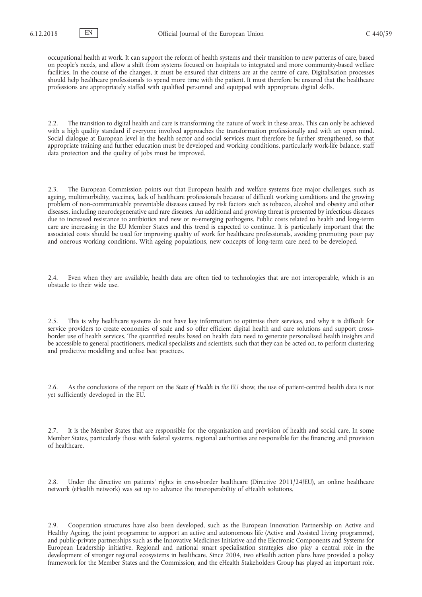occupational health at work. It can support the reform of health systems and their transition to new patterns of care, based on people's needs, and allow a shift from systems focused on hospitals to integrated and more community-based welfare facilities. In the course of the changes, it must be ensured that citizens are at the centre of care. Digitalisation processes should help healthcare professionals to spend more time with the patient. It must therefore be ensured that the healthcare professions are appropriately staffed with qualified personnel and equipped with appropriate digital skills.

2.2. The transition to digital health and care is transforming the nature of work in these areas. This can only be achieved with a high quality standard if everyone involved approaches the transformation professionally and with an open mind. Social dialogue at European level in the health sector and social services must therefore be further strengthened, so that appropriate training and further education must be developed and working conditions, particularly work-life balance, staff data protection and the quality of jobs must be improved.

2.3. The European Commission points out that European health and welfare systems face major challenges, such as ageing, multimorbidity, vaccines, lack of healthcare professionals because of difficult working conditions and the growing problem of non-communicable preventable diseases caused by risk factors such as tobacco, alcohol and obesity and other diseases, including neurodegenerative and rare diseases. An additional and growing threat is presented by infectious diseases due to increased resistance to antibiotics and new or re-emerging pathogens. Public costs related to health and long-term care are increasing in the EU Member States and this trend is expected to continue. It is particularly important that the associated costs should be used for improving quality of work for healthcare professionals, avoiding promoting poor pay and onerous working conditions. With ageing populations, new concepts of long-term care need to be developed.

2.4. Even when they are available, health data are often tied to technologies that are not interoperable, which is an obstacle to their wide use.

2.5. This is why healthcare systems do not have key information to optimise their services, and why it is difficult for service providers to create economies of scale and so offer efficient digital health and care solutions and support crossborder use of health services. The quantified results based on health data need to generate personalised health insights and be accessible to general practitioners, medical specialists and scientists, such that they can be acted on, to perform clustering and predictive modelling and utilise best practices.

2.6. As the conclusions of the report on the *State of Health in the EU* show, the use of patient-centred health data is not yet sufficiently developed in the EU.

2.7. It is the Member States that are responsible for the organisation and provision of health and social care. In some Member States, particularly those with federal systems, regional authorities are responsible for the financing and provision of healthcare.

2.8. Under the directive on patients' rights in cross-border healthcare (Directive 2011/24/EU), an online healthcare network (eHealth network) was set up to advance the interoperability of eHealth solutions.

2.9. Cooperation structures have also been developed, such as the European Innovation Partnership on Active and Healthy Ageing, the joint programme to support an active and autonomous life (Active and Assisted Living programme), and public-private partnerships such as the Innovative Medicines Initiative and the Electronic Components and Systems for European Leadership initiative. Regional and national smart specialisation strategies also play a central role in the development of stronger regional ecosystems in healthcare. Since 2004, two eHealth action plans have provided a policy framework for the Member States and the Commission, and the eHealth Stakeholders Group has played an important role.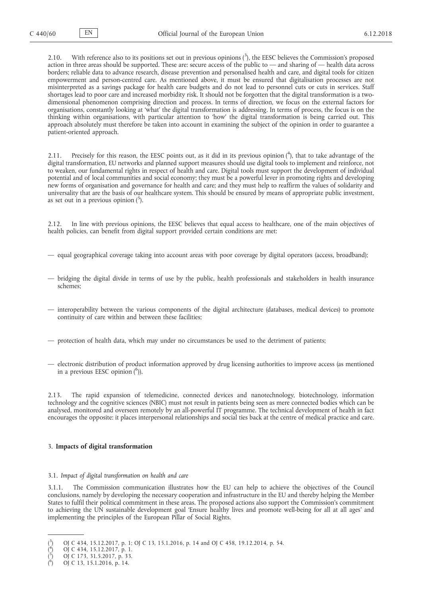2.10. With reference also to its positions set out in previous opinions  $(3)$ , the EESC believes the Commission's proposed action in three areas should be supported. These are: secure access of the public to — and sharing of — health data across borders; reliable data to advance research, disease prevention and personalised health and care, and digital tools for citizen empowerment and person-centred care. As mentioned above, it must be ensured that digitalisation processes are not misinterpreted as a savings package for health care budgets and do not lead to personnel cuts or cuts in services. Staff shortages lead to poor care and increased morbidity risk. It should not be forgotten that the digital transformation is a twodimensional phenomenon comprising direction and process. In terms of direction, we focus on the external factors for organisations, constantly looking at 'what' the digital transformation is addressing. In terms of process, the focus is on the thinking within organisations, with particular attention to 'how' the digital transformation is being carried out. This approach absolutely must therefore be taken into account in examining the subject of the opinion in order to guarantee a patient-oriented approach.

2.11. Precisely for this reason, the EESC points out, as it did in its previous opinion  $(^4)$ , that to take advantage of the digital transformation, EU networks and planned support measures should use digital tools to implement and reinforce, not to weaken, our fundamental rights in respect of health and care. Digital tools must support the development of individual potential and of local communities and social economy; they must be a powerful lever in promoting rights and developing new forms of organisation and governance for health and care; and they must help to reaffirm the values of solidarity and universality that are the basis of our healthcare system. This should be ensured by means of appropriate public investment, as set out in a previous opinion  $(^{5})$ .

2.12. In line with previous opinions, the EESC believes that equal access to healthcare, one of the main objectives of health policies, can benefit from digital support provided certain conditions are met:

- equal geographical coverage taking into account areas with poor coverage by digital operators (access, broadband);
- bridging the digital divide in terms of use by the public, health professionals and stakeholders in health insurance schemes;
- interoperability between the various components of the digital architecture (databases, medical devices) to promote continuity of care within and between these facilities;
- protection of health data, which may under no circumstances be used to the detriment of patients;
- electronic distribution of product information approved by drug licensing authorities to improve access (as mentioned in a previous EESC opinion (<sup>6</sup>)).

2.13. The rapid expansion of telemedicine, connected devices and nanotechnology, biotechnology, information technology and the cognitive sciences (NBIC) must not result in patients being seen as mere connected bodies which can be analysed, monitored and overseen remotely by an all-powerful IT programme. The technical development of health in fact encourages the opposite: it places interpersonal relationships and social ties back at the centre of medical practice and care.

# 3. **Impacts of digital transformation**

### 3.1. *Impact of digital transformation on health and care*

3.1.1. The Commission communication illustrates how the EU can help to achieve the objectives of the Council conclusions, namely by developing the necessary cooperation and infrastructure in the EU and thereby helping the Member States to fulfil their political commitment in these areas. The proposed actions also support the Commission's commitment to achieving the UN sustainable development goal 'Ensure healthy lives and promote well-being for all at all ages' and implementing the principles of the European Pillar of Social Rights.

<sup>(</sup> 3 ) [OJ C 434, 15.12.2017, p. 1;](http://eur-lex.europa.eu/legal-content/EN/TXT/?uri=uriserv:OJ.C_.2017.434.01.0001.01.ENG&toc=OJ:C:2017:434:TOC) [OJ C 13, 15.1.2016, p. 14 and](http://eur-lex.europa.eu/legal-content/EN/TXT/?uri=uriserv%3AOJ.C_.2016.013.01.0014.01.ENG&toc=OJ%3AC%3A2016%3A013%3ATOC) [OJ C 458, 19.12.2014, p. 54.](https://eur-lex.europa.eu/legal-content/EN/TXT/?uri=uriserv:OJ.C_.2014.458.01.0054.01.ENG&toc=OJ:C:2014:458:TOC)

<sup>(</sup> 4 ) [OJ C 434, 15.12.2017, p. 1.](https://eur-lex.europa.eu/legal-content/EN/TXT/?uri=uriserv:OJ.C_.2017.434.01.0001.01.ENG&toc=OJ:C:2017:434:TOC)

<sup>(</sup> 5 ) [OJ C 173, 31.5.2017, p. 33.](https://eur-lex.europa.eu/legal-content/EN/TXT/?uri=uriserv:OJ.C_.2017.173.01.0033.01.ENG&toc=OJ:C:2017:173:TOC)

<sup>(</sup> 6 ) [OJ C 13, 15.1.2016, p. 14.](http://eur-lex.europa.eu/legal-content/EN/TXT/?uri=uriserv%3AOJ.C_.2016.013.01.0014.01.ENG&toc=OJ%3AC%3A2016%3A013%3ATOC)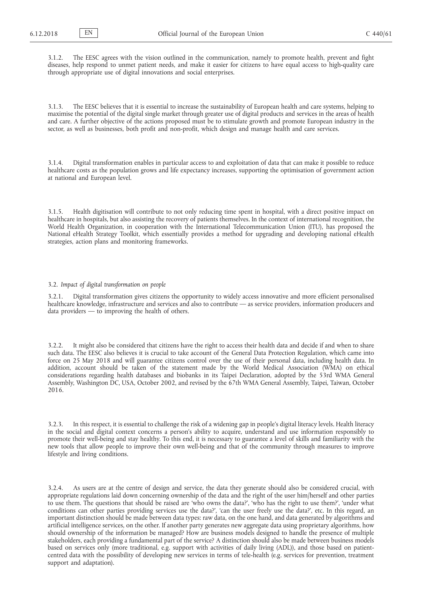3.1.2. The EESC agrees with the vision outlined in the communication, namely to promote health, prevent and fight diseases, help respond to unmet patient needs, and make it easier for citizens to have equal access to high-quality care through appropriate use of digital innovations and social enterprises.

3.1.3. The EESC believes that it is essential to increase the sustainability of European health and care systems, helping to maximise the potential of the digital single market through greater use of digital products and services in the areas of health and care. A further objective of the actions proposed must be to stimulate growth and promote European industry in the sector, as well as businesses, both profit and non-profit, which design and manage health and care services.

3.1.4. Digital transformation enables in particular access to and exploitation of data that can make it possible to reduce healthcare costs as the population grows and life expectancy increases, supporting the optimisation of government action at national and European level.

3.1.5. Health digitisation will contribute to not only reducing time spent in hospital, with a direct positive impact on healthcare in hospitals, but also assisting the recovery of patients themselves. In the context of international recognition, the World Health Organization, in cooperation with the International Telecommunication Union (ITU), has proposed the National eHealth Strategy Toolkit, which essentially provides a method for upgrading and developing national eHealth strategies, action plans and monitoring frameworks.

## 3.2. *Impact of digital transformation on people*

3.2.1. Digital transformation gives citizens the opportunity to widely access innovative and more efficient personalised healthcare knowledge, infrastructure and services and also to contribute — as service providers, information producers and data providers — to improving the health of others.

3.2.2. It might also be considered that citizens have the right to access their health data and decide if and when to share such data. The EESC also believes it is crucial to take account of the General Data Protection Regulation, which came into force on 25 May 2018 and will guarantee citizens control over the use of their personal data, including health data. In addition, account should be taken of the statement made by the World Medical Association (WMA) on ethical considerations regarding health databases and biobanks in its Taipei Declaration, adopted by the 53rd WMA General Assembly, Washington DC, USA, October 2002, and revised by the 67th WMA General Assembly, Taipei, Taiwan, October 2016.

3.2.3. In this respect, it is essential to challenge the risk of a widening gap in people's digital literacy levels. Health literacy in the social and digital context concerns a person's ability to acquire, understand and use information responsibly to promote their well-being and stay healthy. To this end, it is necessary to guarantee a level of skills and familiarity with the new tools that allow people to improve their own well-being and that of the community through measures to improve lifestyle and living conditions.

3.2.4. As users are at the centre of design and service, the data they generate should also be considered crucial, with appropriate regulations laid down concerning ownership of the data and the right of the user him/herself and other parties to use them. The questions that should be raised are 'who owns the data?', 'who has the right to use them?', 'under what conditions can other parties providing services use the data?', 'can the user freely use the data?', etc. In this regard, an important distinction should be made between data types: raw data, on the one hand, and data generated by algorithms and artificial intelligence services, on the other. If another party generates new aggregate data using proprietary algorithms, how should ownership of the information be managed? How are business models designed to handle the presence of multiple stakeholders, each providing a fundamental part of the service? A distinction should also be made between business models based on services only (more traditional, e.g. support with activities of daily living (ADL)), and those based on patientcentred data with the possibility of developing new services in terms of tele-health (e.g. services for prevention, treatment support and adaptation).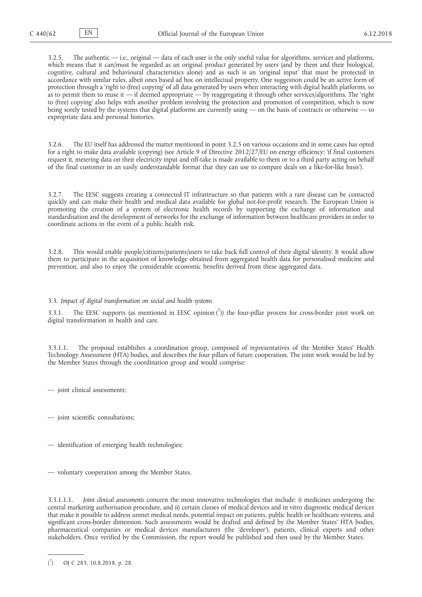3.2.5. The authentic — i.e., original — data of each user is the only useful value for algorithms, services and platforms, which means that it can/must be regarded as an original product generated by users (and by them and their biological, cognitive, cultural and behavioural characteristics alone) and as such is an 'original input' that must be protected in accordance with similar rules, albeit ones based ad hoc on intellectual property. One suggestion could be an active form of protection through a 'right to (free) copying' of all data generated by users when interacting with digital health platforms, so as to permit them to reuse it — if deemed appropriate — by reaggregating it through other services/algorithms. The 'right to (free) copying' also helps with another problem involving the protection and promotion of competition, which is now being sorely tested by the systems that digital platforms are currently using — on the basis of contracts or otherwise — to expropriate data and personal histories.

3.2.6. The EU itself has addressed the matter mentioned in point 3.2.5 on various occasions and in some cases has opted for a right to make data available (copying) (see Article 9 of Directive 2012/27/EU on energy efficiency: 'if final customers request it, metering data on their electricity input and off-take is made available to them or to a third party acting on behalf of the final customer in an easily understandable format that they can use to compare deals on a like-for-like basis').

3.2.7. The EESC suggests creating a connected IT infrastructure so that patients with a rare disease can be contacted quickly and can make their health and medical data available for global not-for-profit research. The European Union is promoting the creation of a system of electronic health records by supporting the exchange of information and standardisation and the development of networks for the exchange of information between healthcare providers in order to coordinate actions in the event of a public health risk.

3.2.8. This would enable people/citizens/patients/users to take back full control of their digital identity. It would allow them to participate in the acquisition of knowledge obtained from aggregated health data for personalised medicine and prevention, and also to enjoy the considerable economic benefits derived from these aggregated data.

3.3. *Impact of digital transformation on social and health systems*

3.3.1. The EESC supports (as mentioned in EESC opinion  $\binom{7}{1}$ ) the four-pillar process for cross-border joint work on digital transformation in health and care.

3.3.1.1. The proposal establishes a coordination group, composed of representatives of the Member States' Health Technology Assessment (HTA) bodies, and describes the four pillars of future cooperation. The joint work would be led by the Member States through the coordination group and would comprise:

- joint clinical assessments;
- joint scientific consultations;
- identification of emerging health technologies;
- voluntary cooperation among the Member States.

3.3.1.1.1. *Joint clinical assessments* concern the most innovative technologies that include: i) medicines undergoing the central marketing authorisation procedure, and ii) certain classes of medical devices and in vitro diagnostic medical devices that make it possible to address unmet medical needs, potential impact on patients, public health or healthcare systems, and significant cross-border dimension. Such assessments would be drafted and defined by the Member States' HTA bodies, pharmaceutical companies or medical devices manufacturers (the 'developer'), patients, clinical experts and other stakeholders. Once verified by the Commission, the report would be published and then used by the Member States.

 $\mathcal{r}$ ) [OJ C 283, 10.8.2018, p. 28.](https://eur-lex.europa.eu/LexUriServ/LexUriServ.do?uri=OJ:C:2018:283:SOM:EN:HTML)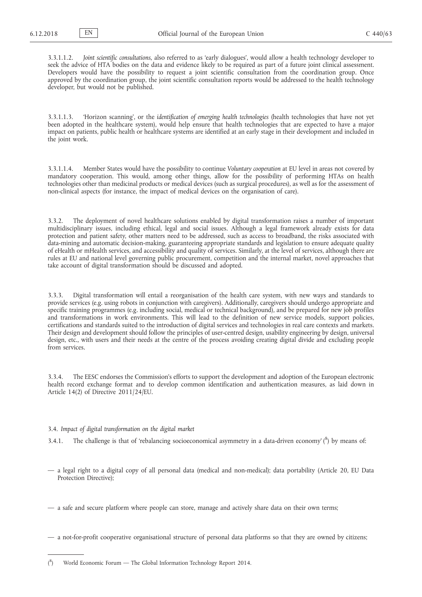3.3.1.1.2. *Joint scientific consultations*, also referred to as 'early dialogues', would allow a health technology developer to seek the advice of HTA bodies on the data and evidence likely to be required as part of a future joint clinical assessment. Developers would have the possibility to request a joint scientific consultation from the coordination group. Once approved by the coordination group, the joint scientific consultation reports would be addressed to the health technology developer, but would not be published.

3.3.1.1.3. 'Horizon scanning', or the *identification of emerging health technologies* (health technologies that have not yet been adopted in the healthcare system), would help ensure that health technologies that are expected to have a major impact on patients, public health or healthcare systems are identified at an early stage in their development and included in the joint work.

3.3.1.1.4. Member States would have the possibility to continue *Voluntary cooperation* at EU level in areas not covered by mandatory cooperation. This would, among other things, allow for the possibility of performing HTAs on health technologies other than medicinal products or medical devices (such as surgical procedures), as well as for the assessment of non-clinical aspects (for instance, the impact of medical devices on the organisation of care).

3.3.2. The deployment of novel healthcare solutions enabled by digital transformation raises a number of important multidisciplinary issues, including ethical, legal and social issues. Although a legal framework already exists for data protection and patient safety, other matters need to be addressed, such as access to broadband, the risks associated with data-mining and automatic decision-making, guaranteeing appropriate standards and legislation to ensure adequate quality of eHealth or mHealth services, and accessibility and quality of services. Similarly, at the level of services, although there are rules at EU and national level governing public procurement, competition and the internal market, novel approaches that take account of digital transformation should be discussed and adopted.

3.3.3. Digital transformation will entail a reorganisation of the health care system, with new ways and standards to provide services (e.g. using robots in conjunction with caregivers). Additionally, caregivers should undergo appropriate and specific training programmes (e.g. including social, medical or technical background), and be prepared for new job profiles and transformations in work environments. This will lead to the definition of new service models, support policies, certifications and standards suited to the introduction of digital services and technologies in real care contexts and markets. Their design and development should follow the principles of user-centred design, usability engineering by design, universal design, etc., with users and their needs at the centre of the process avoiding creating digital divide and excluding people from services.

3.3.4. The EESC endorses the Commission's efforts to support the development and adoption of the European electronic health record exchange format and to develop common identification and authentication measures, as laid down in Article 14(2) of Directive 2011/24/EU.

### 3.4. *Impact of digital transformation on the digital market*

3.4.1. The challenge is that of 'rebalancing socioeconomical asymmetry in a data-driven economy' ( $8$ ) by means of:

- a legal right to a digital copy of all personal data (medical and non-medical); data portability (Article 20, EU Data Protection Directive);
- a safe and secure platform where people can store, manage and actively share data on their own terms;

— a not-for-profit cooperative organisational structure of personal data platforms so that they are owned by citizens;

 $($ <sup>8</sup> ) World Economic Forum — The Global Information Technology Report 2014.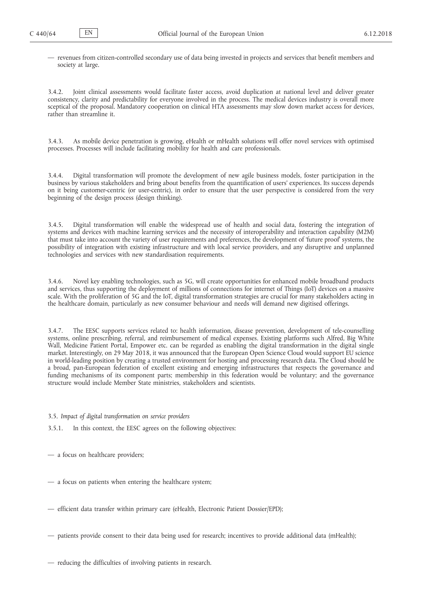— revenues from citizen-controlled secondary use of data being invested in projects and services that benefit members and society at large.

3.4.2. Joint clinical assessments would facilitate faster access, avoid duplication at national level and deliver greater consistency, clarity and predictability for everyone involved in the process. The medical devices industry is overall more sceptical of the proposal. Mandatory cooperation on clinical HTA assessments may slow down market access for devices, rather than streamline it.

3.4.3. As mobile device penetration is growing, eHealth or mHealth solutions will offer novel services with optimised processes. Processes will include facilitating mobility for health and care professionals.

3.4.4. Digital transformation will promote the development of new agile business models, foster participation in the business by various stakeholders and bring about benefits from the quantification of users' experiences. Its success depends on it being customer-centric (or user-centric), in order to ensure that the user perspective is considered from the very beginning of the design process (design thinking).

3.4.5. Digital transformation will enable the widespread use of health and social data, fostering the integration of systems and devices with machine learning services and the necessity of interoperability and interaction capability (M2M) that must take into account the variety of user requirements and preferences, the development of 'future proof' systems, the possibility of integration with existing infrastructure and with local service providers, and any disruptive and unplanned technologies and services with new standardisation requirements.

3.4.6. Novel key enabling technologies, such as 5G, will create opportunities for enhanced mobile broadband products and services, thus supporting the deployment of millions of connections for internet of Things (IoT) devices on a massive scale. With the proliferation of 5G and the IoT, digital transformation strategies are crucial for many stakeholders acting in the healthcare domain, particularly as new consumer behaviour and needs will demand new digitised offerings.

3.4.7. The EESC supports services related to: health information, disease prevention, development of tele-counselling systems, online prescribing, referral, and reimbursement of medical expenses. Existing platforms such Alfred, Big White Wall, Medicine Patient Portal, Empower etc. can be regarded as enabling the digital transformation in the digital single market. Interestingly, on 29 May 2018, it was announced that the European Open Science Cloud would support EU science in world-leading position by creating a trusted environment for hosting and processing research data. The Cloud should be a broad, pan-European federation of excellent existing and emerging infrastructures that respects the governance and funding mechanisms of its component parts; membership in this federation would be voluntary; and the governance structure would include Member State ministries, stakeholders and scientists.

3.5. *Impact of digital transformation on service providers*

3.5.1. In this context, the EESC agrees on the following objectives:

— a focus on healthcare providers;

- a focus on patients when entering the healthcare system;
- efficient data transfer within primary care (eHealth, Electronic Patient Dossier/EPD);
- patients provide consent to their data being used for research; incentives to provide additional data (mHealth);
- reducing the difficulties of involving patients in research.